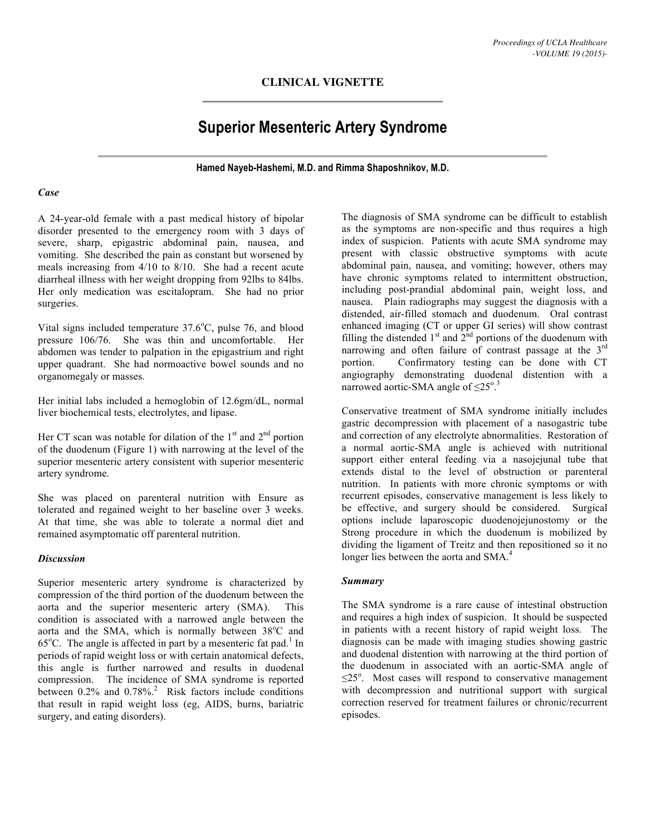## **CLINICAL VIGNETTE**

# **Superior Mesenteric Artery Syndrome**

**Hamed Nayeb-Hashemi, M.D. and Rimma Shaposhnikov, M.D.**

#### *Case*

A 24-year-old female with a past medical history of bipolar disorder presented to the emergency room with 3 days of severe, sharp, epigastric abdominal pain, nausea, and vomiting. She described the pain as constant but worsened by meals increasing from 4/10 to 8/10. She had a recent acute diarrheal illness with her weight dropping from 92lbs to 84lbs. Her only medication was escitalopram. She had no prior surgeries.

Vital signs included temperature  $37.6^{\circ}$ C, pulse 76, and blood pressure 106/76. She was thin and uncomfortable. Her abdomen was tender to palpation in the epigastrium and right upper quadrant. She had normoactive bowel sounds and no organomegaly or masses.

Her initial labs included a hemoglobin of 12.6gm/dL, normal liver biochemical tests, electrolytes, and lipase.

Her CT scan was notable for dilation of the  $1<sup>st</sup>$  and  $2<sup>nd</sup>$  portion of the duodenum (Figure 1) with narrowing at the level of the superior mesenteric artery consistent with superior mesenteric artery syndrome.

She was placed on parenteral nutrition with Ensure as tolerated and regained weight to her baseline over 3 weeks. At that time, she was able to tolerate a normal diet and remained asymptomatic off parenteral nutrition.

#### *Discussion*

Superior mesenteric artery syndrome is characterized by compression of the third portion of the duodenum between the aorta and the superior mesenteric artery (SMA). This condition is associated with a narrowed angle between the aorta and the SMA, which is normally between 38°C and 65 $^{\circ}$ C. The angle is affected in part by a mesenteric fat pad.<sup>1</sup> In periods of rapid weight loss or with certain anatomical defects, this angle is further narrowed and results in duodenal compression. The incidence of SMA syndrome is reported between 0.2% and 0.78%. 2 Risk factors include conditions that result in rapid weight loss (eg, AIDS, burns, bariatric surgery, and eating disorders).

The diagnosis of SMA syndrome can be difficult to establish as the symptoms are non-specific and thus requires a high index of suspicion. Patients with acute SMA syndrome may present with classic obstructive symptoms with acute abdominal pain, nausea, and vomiting; however, others may have chronic symptoms related to intermittent obstruction, including post-prandial abdominal pain, weight loss, and nausea. Plain radiographs may suggest the diagnosis with a distended, air-filled stomach and duodenum. Oral contrast enhanced imaging (CT or upper GI series) will show contrast filling the distended  $1<sup>st</sup>$  and  $2<sup>nd</sup>$  portions of the duodenum with narrowing and often failure of contrast passage at the  $3<sup>rd</sup>$ portion. Confirmatory testing can be done with CT angiography demonstrating duodenal distention with a narrowed aortic-SMA angle of  $\leq 25^{\circ}$ .

Conservative treatment of SMA syndrome initially includes gastric decompression with placement of a nasogastric tube and correction of any electrolyte abnormalities. Restoration of a normal aortic-SMA angle is achieved with nutritional support either enteral feeding via a nasojejunal tube that extends distal to the level of obstruction or parenteral nutrition. In patients with more chronic symptoms or with recurrent episodes, conservative management is less likely to be effective, and surgery should be considered. Surgical options include laparoscopic duodenojejunostomy or the Strong procedure in which the duodenum is mobilized by dividing the ligament of Treitz and then repositioned so it no longer lies between the aorta and SMA.<sup>4</sup>

## *Summary*

The SMA syndrome is a rare cause of intestinal obstruction and requires a high index of suspicion. It should be suspected in patients with a recent history of rapid weight loss. The diagnosis can be made with imaging studies showing gastric and duodenal distention with narrowing at the third portion of the duodenum in associated with an aortic-SMA angle of  $\leq$ 25°. Most cases will respond to conservative management with decompression and nutritional support with surgical correction reserved for treatment failures or chronic/recurrent episodes.